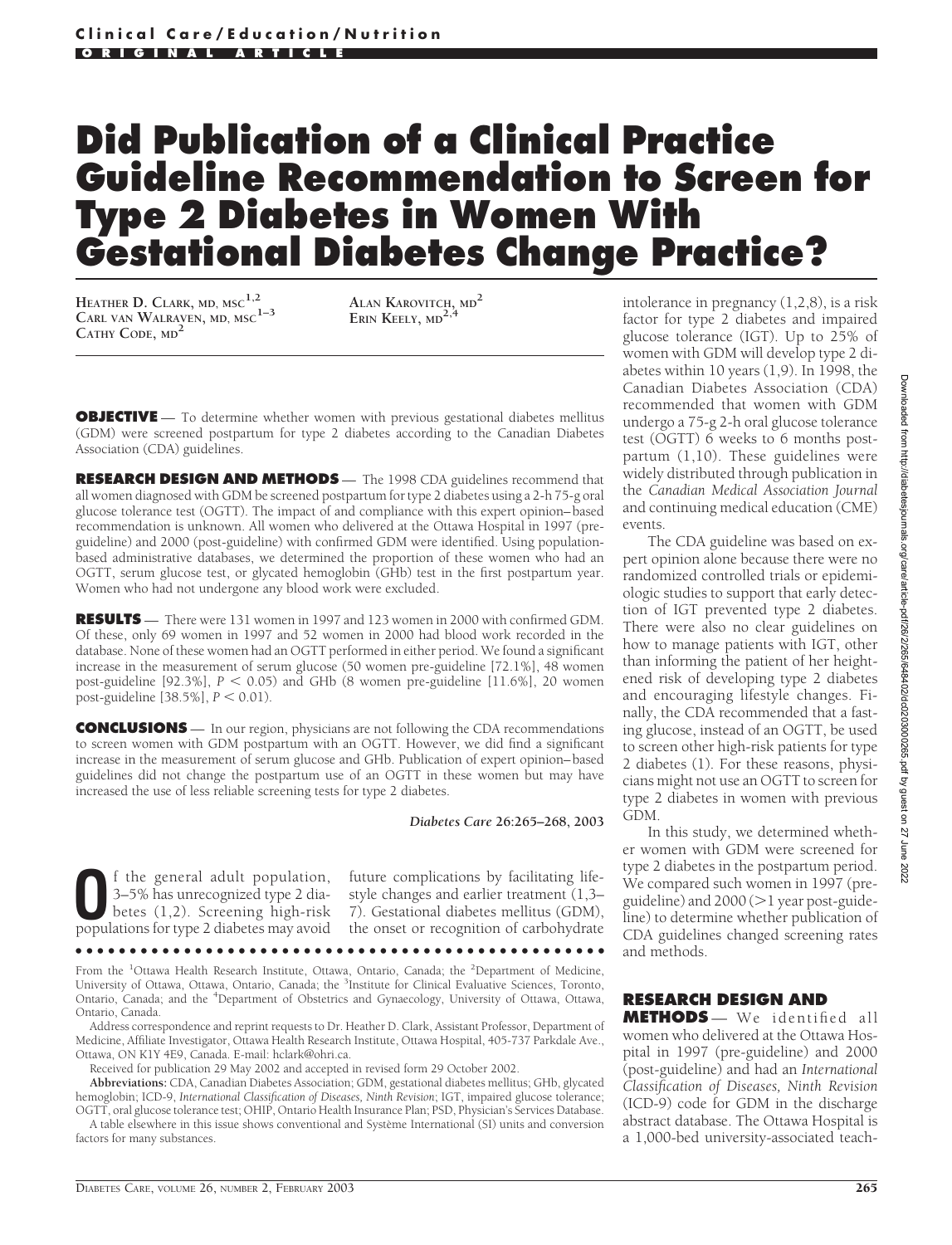## **Did Publication of a Clinical Practice Guideline Recommendation to Screen for Type 2 Diabetes in Women With Gestational Diabetes Change Practice?**

**HEATHER D. CLARK, MD, MSC1,2 CARL VAN WALRAVEN, MD, MSC1–3 CATHY CODE, MD<sup>2</sup>**

**ALAN KAROVITCH, MD<sup>2</sup> ERIN KEELY, MD2,4**

**OBJECTIVE** — To determine whether women with previous gestational diabetes mellitus (GDM) were screened postpartum for type 2 diabetes according to the Canadian Diabetes Association (CDA) guidelines.

**RESEARCH DESIGN AND METHODS** — The 1998 CDA guidelines recommend that all women diagnosed with GDM be screened postpartum for type 2 diabetes using a 2-h 75-g oral glucose tolerance test (OGTT). The impact of and compliance with this expert opinion–based recommendation is unknown. All women who delivered at the Ottawa Hospital in 1997 (preguideline) and 2000 (post-guideline) with confirmed GDM were identified. Using populationbased administrative databases, we determined the proportion of these women who had an OGTT, serum glucose test, or glycated hemoglobin (GHb) test in the first postpartum year. Women who had not undergone any blood work were excluded.

**RESULTS** — There were 131 women in 1997 and 123 women in 2000 with confirmed GDM. Of these, only 69 women in 1997 and 52 women in 2000 had blood work recorded in the database. None of these women had an OGTT performed in either period. We found a significant increase in the measurement of serum glucose (50 women pre-guideline [72.1%], 48 women post-guideline  $[92.3\%]$ ,  $P < 0.05$ ) and GHb (8 women pre-guideline  $[11.6\%]$ , 20 women post-guideline  $[38.5\%]$ ,  $P < 0.01$ ).

**CONCLUSIONS** — In our region, physicians are not following the CDA recommendations to screen women with GDM postpartum with an OGTT. However, we did find a significant increase in the measurement of serum glucose and GHb. Publication of expert opinion–based guidelines did not change the postpartum use of an OGTT in these women but may have increased the use of less reliable screening tests for type 2 diabetes.

*Diabetes Care* **26:265–268, 2003**

**O**f the general adult population,<br>3–5% has unrecognized type 2 dia-<br>betes (1,2). Screening high-risk<br>populations for type 2 diabetes may avoid 3–5% has unrecognized type 2 diapopulations for type 2 diabetes may avoid

future complications by facilitating lifestyle changes and earlier treatment (1,3– 7). Gestational diabetes mellitus (GDM), the onset or recognition of carbohydrate

●●●●●●●●●●●●●●●●●●●●●●●●●●●●●●●●●●●●●●●●●●●●●●●●●

From the <sup>1</sup>Ottawa Health Research Institute, Ottawa, Ontario, Canada; the <sup>2</sup>Department of Medicine, University of Ottawa, Ottawa, Ontario, Canada; the <sup>3</sup>Institute for Clinical Evaluative Sciences, Toronto, Ontario, Canada; and the <sup>4</sup>Department of Obstetrics and Gynaecology, University of Ottawa, Ottawa, Ontario, Canada.

Address correspondence and reprint requests to Dr. Heather D. Clark, Assistant Professor, Department of Medicine, Affiliate Investigator, Ottawa Health Research Institute, Ottawa Hospital, 405-737 Parkdale Ave., Ottawa, ON K1Y 4E9, Canada. E-mail: hclark@ohri.ca.

Received for publication 29 May 2002 and accepted in revised form 29 October 2002.

**Abbreviations:** CDA, Canadian Diabetes Association; GDM, gestational diabetes mellitus; GHb, glycated hemoglobin; ICD-9, *International Classification of Diseases, Ninth Revision*; IGT, impaired glucose tolerance; OGTT, oral glucose tolerance test; OHIP, Ontario Health Insurance Plan; PSD, Physician's Services Database.

A table elsewhere in this issue shows conventional and Système International (SI) units and conversion factors for many substances.

intolerance in pregnancy (1,2,8), is a risk factor for type 2 diabetes and impaired glucose tolerance (IGT). Up to 25% of women with GDM will develop type 2 diabetes within 10 years (1,9). In 1998, the Canadian Diabetes Association (CDA) recommended that women with GDM undergo a 75-g 2-h oral glucose tolerance test (OGTT) 6 weeks to 6 months postpartum (1,10). These guidelines were widely distributed through publication in the *Canadian Medical Association Journal* and continuing medical education (CME) events.

The CDA guideline was based on expert opinion alone because there were no randomized controlled trials or epidemiologic studies to support that early detection of IGT prevented type 2 diabetes. There were also no clear guidelines on how to manage patients with IGT, other than informing the patient of her heightened risk of developing type 2 diabetes and encouraging lifestyle changes. Finally, the CDA recommended that a fasting glucose, instead of an OGTT, be used to screen other high-risk patients for type 2 diabetes (1). For these reasons, physicians might not use an OGTT to screen for type 2 diabetes in women with previous GDM.

In this study, we determined whether women with GDM were screened for type 2 diabetes in the postpartum period. We compared such women in 1997 (preguideline) and 2000 ( $>$ 1 year post-guideline) to determine whether publication of CDA guidelines changed screening rates and methods.

## **RESEARCH DESIGN AND**

**METHODS** — We identified all women who delivered at the Ottawa Hospital in 1997 (pre-guideline) and 2000 (post-guideline) and had an *International Classification of Diseases, Ninth Revision* (ICD-9) code for GDM in the discharge abstract database. The Ottawa Hospital is a 1,000-bed university-associated teach-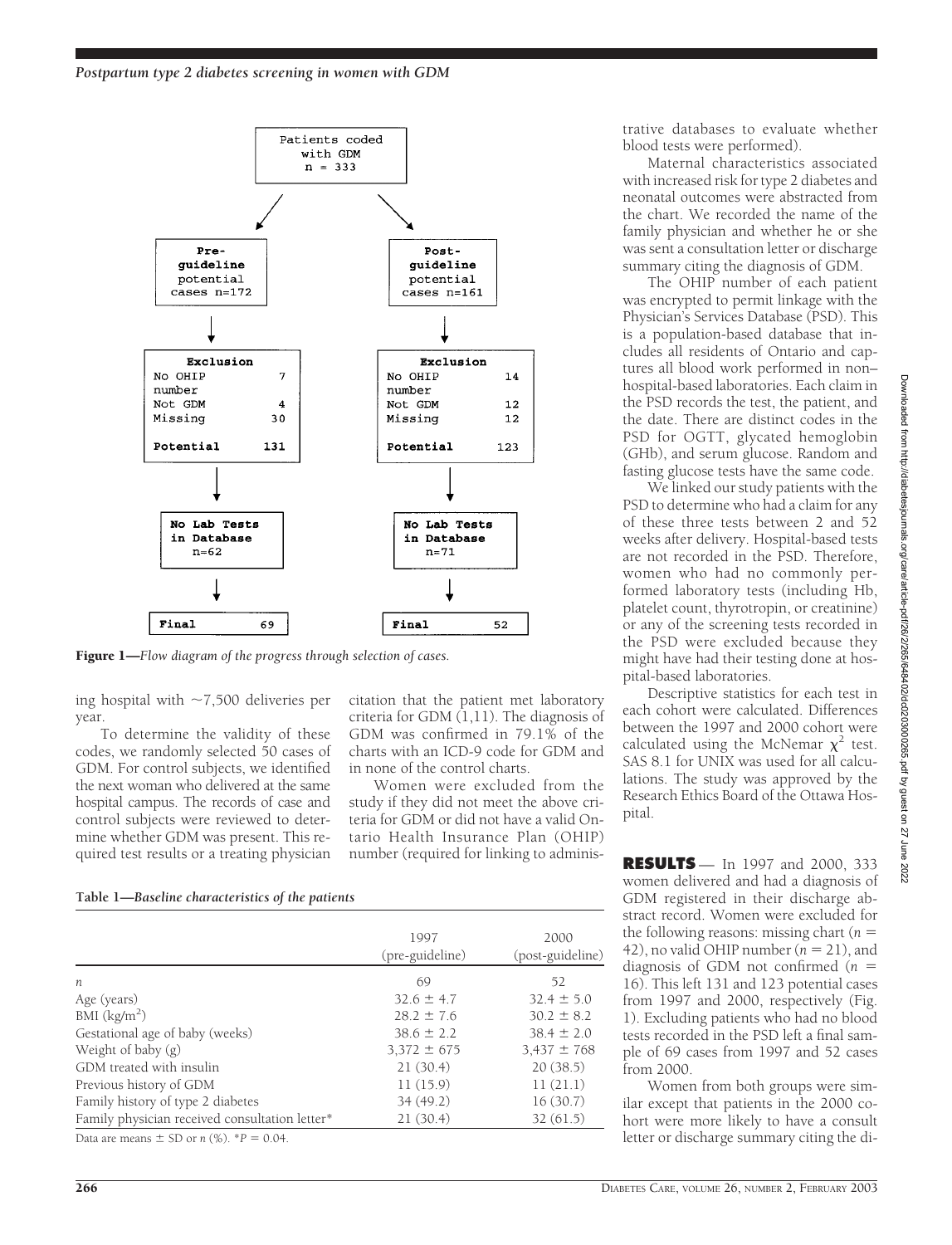

Figure 1—*Flow diagram of the progress through selection of cases.*

ing hospital with  $\sim$ 7,500 deliveries per year.

To determine the validity of these codes, we randomly selected 50 cases of GDM. For control subjects, we identified the next woman who delivered at the same hospital campus. The records of case and control subjects were reviewed to determine whether GDM was present. This required test results or a treating physician

citation that the patient met laboratory criteria for GDM  $(1,11)$ . The diagnosis of GDM was confirmed in 79.1% of the charts with an ICD-9 code for GDM and in none of the control charts.

Women were excluded from the study if they did not meet the above criteria for GDM or did not have a valid Ontario Health Insurance Plan (OHIP) number (required for linking to adminis-

**Table 1—***Baseline characteristics of the patients*

| 1997<br>(pre-guideline) | 2000<br>(post-guideline) |
|-------------------------|--------------------------|
| 69                      | 52                       |
| $32.6 \pm 4.7$          | $32.4 \pm 5.0$           |
| $28.2 \pm 7.6$          | $30.2 \pm 8.2$           |
| $38.6 \pm 2.2$          | $38.4 \pm 2.0$           |
| $3,372 \pm 675$         | $3,437 \pm 768$          |
| 21(30.4)                | 20(38.5)                 |
| 11(15.9)                | 11(21.1)                 |
| 34(49.2)                | 16(30.7)                 |
| 21(30.4)                | 32(61.5)                 |
|                         |                          |

Data are means  $\pm$  SD or *n* (%).  $^*P = 0.04$ .

trative databases to evaluate whether blood tests were performed).

Maternal characteristics associated with increased risk for type 2 diabetes and neonatal outcomes were abstracted from the chart. We recorded the name of the family physician and whether he or she was sent a consultation letter or discharge summary citing the diagnosis of GDM.

The OHIP number of each patient was encrypted to permit linkage with the Physician's Services Database (PSD). This is a population-based database that includes all residents of Ontario and captures all blood work performed in non– hospital-based laboratories. Each claim in the PSD records the test, the patient, and the date. There are distinct codes in the PSD for OGTT, glycated hemoglobin (GHb), and serum glucose. Random and fasting glucose tests have the same code.

We linked our study patients with the PSD to determine who had a claim for any of these three tests between 2 and 52 weeks after delivery. Hospital-based tests are not recorded in the PSD. Therefore, women who had no commonly performed laboratory tests (including Hb, platelet count, thyrotropin, or creatinine) or any of the screening tests recorded in the PSD were excluded because they might have had their testing done at hospital-based laboratories.

Descriptive statistics for each test in each cohort were calculated. Differences between the 1997 and 2000 cohort were calculated using the McNemar  $\chi^2$  test. SAS 8.1 for UNIX was used for all calculations. The study was approved by the Research Ethics Board of the Ottawa Hospital.

**RESULTS** — In 1997 and 2000, 333 women delivered and had a diagnosis of GDM registered in their discharge abstract record. Women were excluded for the following reasons: missing chart (*n* 42), no valid OHIP number  $(n = 21)$ , and diagnosis of GDM not confirmed (*n* 16). This left 131 and 123 potential cases from 1997 and 2000, respectively (Fig. 1). Excluding patients who had no blood tests recorded in the PSD left a final sample of 69 cases from 1997 and 52 cases from 2000.

Women from both groups were similar except that patients in the 2000 cohort were more likely to have a consult letter or discharge summary citing the di-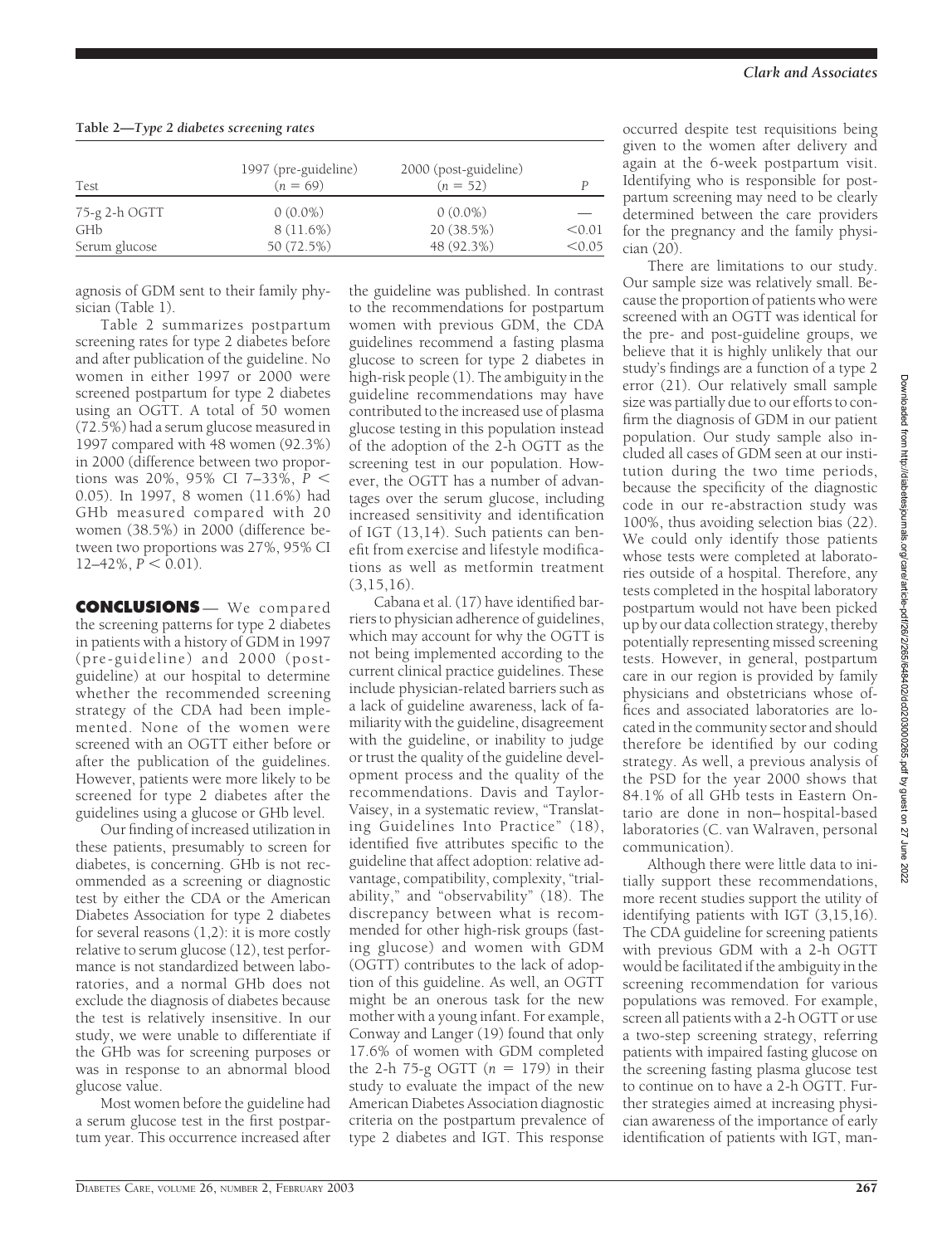|  |  |  |  |  | Table 2-Type 2 diabetes screening rates |  |
|--|--|--|--|--|-----------------------------------------|--|
|--|--|--|--|--|-----------------------------------------|--|

| <b>Test</b>   | 1997 (pre-guideline)<br>$(n = 69)$ | 2000 (post-guideline)<br>$(n = 52)$ |        |
|---------------|------------------------------------|-------------------------------------|--------|
| 75-g 2-h OGTT | $0(0.0\%)$                         | $0(0.0\%)$                          |        |
| GHb           | $8(11.6\%)$                        | 20 (38.5%)                          | < 0.01 |
| Serum glucose | 50 (72.5%)                         | 48 (92.3%)                          | < 0.05 |

agnosis of GDM sent to their family physician (Table 1).

Table 2 summarizes postpartum screening rates for type 2 diabetes before and after publication of the guideline. No women in either 1997 or 2000 were screened postpartum for type 2 diabetes using an OGTT. A total of 50 women (72.5%) had a serum glucose measured in 1997 compared with 48 women (92.3%) in 2000 (difference between two proportions was 20%, 95% CI 7–33%, *P* 0.05). In 1997, 8 women (11.6%) had GHb measured compared with 20 women (38.5%) in 2000 (difference between two proportions was 27%, 95% CI  $12-42\%$ ,  $\overline{P}$  < 0.01).

**CONCLUSIONS** — We compared the screening patterns for type 2 diabetes in patients with a history of GDM in 1997 (pre-guideline) and 2000 (postguideline) at our hospital to determine whether the recommended screening strategy of the CDA had been implemented. None of the women were screened with an OGTT either before or after the publication of the guidelines. However, patients were more likely to be screened for type 2 diabetes after the guidelines using a glucose or GHb level.

Our finding of increased utilization in these patients, presumably to screen for diabetes, is concerning. GHb is not recommended as a screening or diagnostic test by either the CDA or the American Diabetes Association for type 2 diabetes for several reasons  $(1,2)$ : it is more costly relative to serum glucose (12), test performance is not standardized between laboratories, and a normal GHb does not exclude the diagnosis of diabetes because the test is relatively insensitive. In our study, we were unable to differentiate if the GHb was for screening purposes or was in response to an abnormal blood glucose value.

Most women before the guideline had a serum glucose test in the first postpartum year. This occurrence increased after

the guideline was published. In contrast to the recommendations for postpartum women with previous GDM, the CDA guidelines recommend a fasting plasma glucose to screen for type 2 diabetes in high-risk people (1). The ambiguity in the guideline recommendations may have contributed to the increased use of plasma glucose testing in this population instead of the adoption of the 2-h OGTT as the screening test in our population. However, the OGTT has a number of advantages over the serum glucose, including increased sensitivity and identification of IGT (13,14). Such patients can benefit from exercise and lifestyle modifications as well as metformin treatment  $(3,15,16)$ .

Cabana et al. (17) have identified barriers to physician adherence of guidelines, which may account for why the OGTT is not being implemented according to the current clinical practice guidelines. These include physician-related barriers such as a lack of guideline awareness, lack of familiarity with the guideline, disagreement with the guideline, or inability to judge or trust the quality of the guideline development process and the quality of the recommendations. Davis and Taylor-Vaisey, in a systematic review, "Translating Guidelines Into Practice" (18), identified five attributes specific to the guideline that affect adoption: relative advantage, compatibility, complexity, "trialability," and "observability" (18). The discrepancy between what is recommended for other high-risk groups (fasting glucose) and women with GDM (OGTT) contributes to the lack of adoption of this guideline. As well, an OGTT might be an onerous task for the new mother with a young infant. For example, Conway and Langer (19) found that only 17.6% of women with GDM completed the 2-h 75-g OGTT  $(n = 179)$  in their study to evaluate the impact of the new American Diabetes Association diagnostic criteria on the postpartum prevalence of type 2 diabetes and IGT. This response

occurred despite test requisitions being given to the women after delivery and again at the 6-week postpartum visit. Identifying who is responsible for postpartum screening may need to be clearly determined between the care providers for the pregnancy and the family physician (20).

There are limitations to our study. Our sample size was relatively small. Because the proportion of patients who were screened with an OGTT was identical for the pre- and post-guideline groups, we believe that it is highly unlikely that our study's findings are a function of a type 2 error (21). Our relatively small sample size was partially due to our efforts to confirm the diagnosis of GDM in our patient population. Our study sample also included all cases of GDM seen at our institution during the two time periods, because the specificity of the diagnostic code in our re-abstraction study was 100%, thus avoiding selection bias (22). We could only identify those patients whose tests were completed at laboratories outside of a hospital. Therefore, any tests completed in the hospital laboratory postpartum would not have been picked up by our data collection strategy, thereby potentially representing missed screening tests. However, in general, postpartum care in our region is provided by family physicians and obstetricians whose offices and associated laboratories are located in the community sector and should therefore be identified by our coding strategy. As well, a previous analysis of the PSD for the year 2000 shows that 84.1% of all GHb tests in Eastern Ontario are done in non– hospital-based laboratories (C. van Walraven, personal communication).

Although there were little data to initially support these recommendations, more recent studies support the utility of identifying patients with IGT (3,15,16). The CDA guideline for screening patients with previous GDM with a 2-h OGTT would be facilitated if the ambiguity in the screening recommendation for various populations was removed. For example, screen all patients with a 2-h OGTT or use a two-step screening strategy, referring patients with impaired fasting glucose on the screening fasting plasma glucose test to continue on to have a 2-h OGTT. Further strategies aimed at increasing physician awareness of the importance of early identification of patients with IGT, man